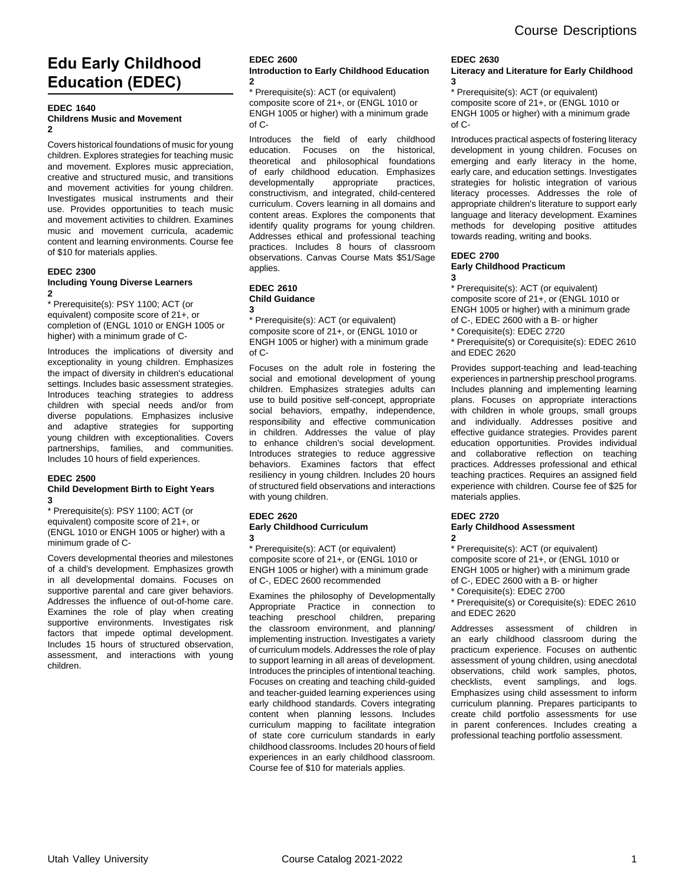# **Edu Early Childhood Education (EDEC)**

#### **EDEC 1640 Childrens Music and Movement 2**

Covers historical foundations of music for young children. Explores strategies for teaching music and movement. Explores music appreciation, creative and structured music, and transitions and movement activities for young children. Investigates musical instruments and their use. Provides opportunities to teach music and movement activities to children. Examines music and movement curricula, academic content and learning environments. Course fee of \$10 for materials applies.

#### **EDEC 2300 Including Young Diverse Learners 2**

\* Prerequisite(s): PSY 1100; ACT (or equivalent) composite score of 21+, or completion of (ENGL 1010 or ENGH 1005 or higher) with a minimum grade of C-

Introduces the implications of diversity and exceptionality in young children. Emphasizes the impact of diversity in children's educational settings. Includes basic assessment strategies. Introduces teaching strategies to address children with special needs and/or from diverse populations. Emphasizes inclusive and adaptive strategies for supporting young children with exceptionalities. Covers partnerships, families, and communities. Includes 10 hours of field experiences.

## **EDEC 2500**

## **Child Development Birth to Eight Years 3**

\* Prerequisite(s): PSY 1100; ACT (or equivalent) composite score of 21+, or (ENGL 1010 or ENGH 1005 or higher) with a minimum grade of C-

Covers developmental theories and milestones of a child's development. Emphasizes growth in all developmental domains. Focuses on supportive parental and care giver behaviors. Addresses the influence of out-of-home care. Examines the role of play when creating supportive environments. Investigates risk factors that impede optimal development. Includes 15 hours of structured observation, assessment, and interactions with young children.

## **EDEC 2600 Introduction to Early Childhood Education 2**

\* Prerequisite(s): ACT (or equivalent) composite score of 21+, or (ENGL 1010 or ENGH 1005 or higher) with a minimum grade of C-

Introduces the field of early childhood education. Focuses on the historical, theoretical and philosophical foundations of early childhood education. Emphasizes developmentally appropriate practices, constructivism, and integrated, child-centered curriculum. Covers learning in all domains and content areas. Explores the components that identify quality programs for young children. Addresses ethical and professional teaching practices. Includes 8 hours of classroom observations. Canvas Course Mats \$51/Sage applies.

## **EDEC 2610 Child Guidance**

**3** \* Prerequisite(s): ACT (or equivalent) composite score of 21+, or (ENGL 1010 or ENGH 1005 or higher) with a minimum grade of C-

Focuses on the adult role in fostering the social and emotional development of young children. Emphasizes strategies adults can use to build positive self-concept, appropriate social behaviors, empathy, independence, responsibility and effective communication in children. Addresses the value of play to enhance children's social development. Introduces strategies to reduce aggressive behaviors. Examines factors that effect resiliency in young children. Includes 20 hours of structured field observations and interactions with young children.

## **EDEC 2620 Early Childhood Curriculum 3**

\* Prerequisite(s): ACT (or equivalent) composite score of 21+, or (ENGL 1010 or ENGH 1005 or higher) with a minimum grade of C-, EDEC 2600 recommended

Examines the philosophy of Developmentally Appropriate Practice in connection to teaching preschool children, preparing the classroom environment, and planning/ implementing instruction. Investigates a variety of curriculum models. Addresses the role of play to support learning in all areas of development. Introduces the principles of intentional teaching. Focuses on creating and teaching child-guided and teacher-guided learning experiences using early childhood standards. Covers integrating content when planning lessons. Includes curriculum mapping to facilitate integration of state core curriculum standards in early childhood classrooms. Includes 20 hours of field experiences in an early childhood classroom. Course fee of \$10 for materials applies.

## **EDEC 2630**

## **Literacy and Literature for Early Childhood 3**

\* Prerequisite(s): ACT (or equivalent) composite score of 21+, or (ENGL 1010 or ENGH 1005 or higher) with a minimum grade of C-

Introduces practical aspects of fostering literacy development in young children. Focuses on emerging and early literacy in the home, early care, and education settings. Investigates strategies for holistic integration of various literacy processes. Addresses the role of appropriate children's literature to support early language and literacy development. Examines methods for developing positive attitudes towards reading, writing and books.

#### **EDEC 2700 Early Childhood Practicum 3**

\* Prerequisite(s): ACT (or equivalent) composite score of 21+, or (ENGL 1010 or ENGH 1005 or higher) with a minimum grade of C-, EDEC 2600 with a B- or higher \* Corequisite(s): EDEC 2720

\* Prerequisite(s) or Corequisite(s): EDEC 2610 and EDEC 2620

Provides support-teaching and lead-teaching experiences in partnership preschool programs. Includes planning and implementing learning plans. Focuses on appropriate interactions with children in whole groups, small groups and individually. Addresses positive and effective guidance strategies. Provides parent education opportunities. Provides individual and collaborative reflection on teaching practices. Addresses professional and ethical teaching practices. Requires an assigned field experience with children. Course fee of \$25 for materials applies.

## **EDEC 2720**

## **Early Childhood Assessment 2**

\* Prerequisite(s): ACT (or equivalent) composite score of 21+, or (ENGL 1010 or ENGH 1005 or higher) with a minimum grade of C-, EDEC 2600 with a B- or higher

\* Corequisite(s): EDEC 2700

\* Prerequisite(s) or Corequisite(s): EDEC 2610 and EDEC 2620

Addresses assessment of children in an early childhood classroom during the practicum experience. Focuses on authentic assessment of young children, using anecdotal observations, child work samples, photos, checklists, event samplings, and logs. Emphasizes using child assessment to inform curriculum planning. Prepares participants to create child portfolio assessments for use in parent conferences. Includes creating a professional teaching portfolio assessment.